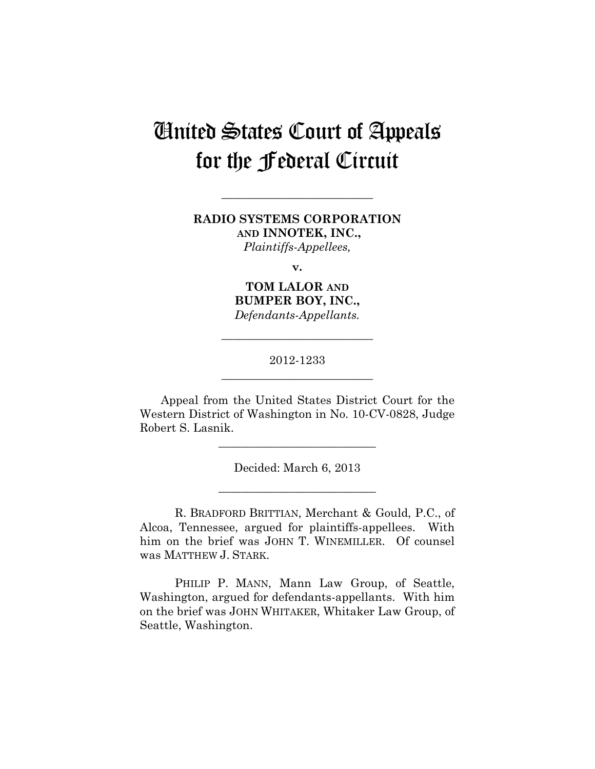# United States Court of Appeals for the Federal Circuit

## **RADIO SYSTEMS CORPORATION AND INNOTEK, INC.,**  *Plaintiffs-Appellees,*

**\_\_\_\_\_\_\_\_\_\_\_\_\_\_\_\_\_\_\_\_\_\_\_\_\_\_** 

**v.**

**TOM LALOR AND BUMPER BOY, INC.,**  *Defendants-Appellants.*

## 2012-1233 **\_\_\_\_\_\_\_\_\_\_\_\_\_\_\_\_\_\_\_\_\_\_\_\_\_\_**

**\_\_\_\_\_\_\_\_\_\_\_\_\_\_\_\_\_\_\_\_\_\_\_\_\_\_** 

Appeal from the United States District Court for the Western District of Washington in No. 10-CV-0828, Judge Robert S. Lasnik.

Decided: March 6, 2013

**\_\_\_\_\_\_\_\_\_\_\_\_\_\_\_\_\_\_\_\_\_\_\_\_\_\_\_** 

**\_\_\_\_\_\_\_\_\_\_\_\_\_\_\_\_\_\_\_\_\_\_\_\_\_\_\_** 

R. BRADFORD BRITTIAN, Merchant & Gould, P.C., of Alcoa, Tennessee, argued for plaintiffs-appellees. With him on the brief was JOHN T. WINEMILLER. Of counsel was MATTHEW J. STARK.

PHILIP P. MANN, Mann Law Group, of Seattle, Washington, argued for defendants-appellants. With him on the brief was JOHN WHITAKER, Whitaker Law Group, of Seattle, Washington.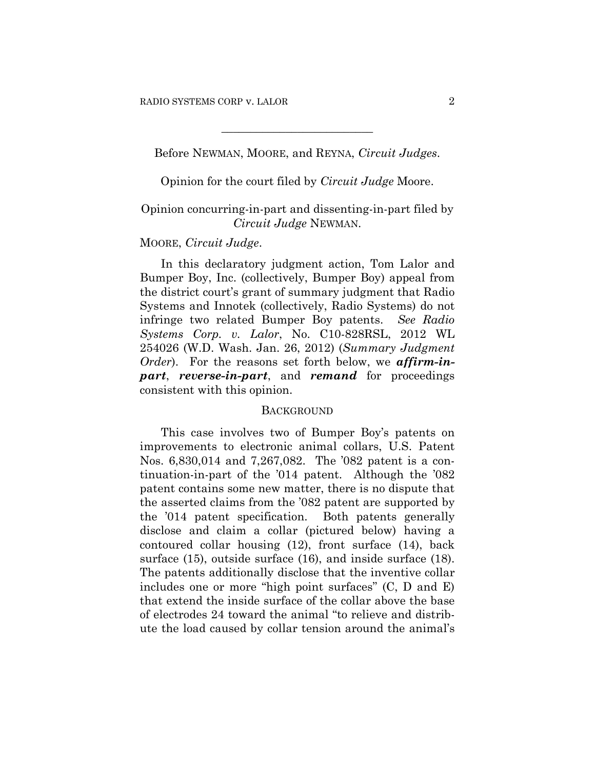Before NEWMAN, MOORE, and REYNA, *Circuit Judges*.

**\_\_\_\_\_\_\_\_\_\_\_\_\_\_\_\_\_\_\_\_\_\_\_\_\_\_** 

Opinion for the court filed by *Circuit Judge* Moore.

### Opinion concurring-in-part and dissenting-in-part filed by *Circuit Judge* NEWMAN.

#### MOORE, *Circuit Judge*.

In this declaratory judgment action, Tom Lalor and Bumper Boy, Inc. (collectively, Bumper Boy) appeal from the district court's grant of summary judgment that Radio Systems and Innotek (collectively, Radio Systems) do not infringe two related Bumper Boy patents. *See Radio Systems Corp. v. Lalor*, No. C10-828RSL, 2012 WL 254026 (W.D. Wash. Jan. 26, 2012) (*Summary Judgment Order*). For the reasons set forth below, we *affirm-inpart*, *reverse-in-part*, and *remand* for proceedings consistent with this opinion.

#### **BACKGROUND**

This case involves two of Bumper Boy's patents on improvements to electronic animal collars, U.S. Patent Nos. 6,830,014 and 7,267,082. The '082 patent is a continuation-in-part of the '014 patent. Although the '082 patent contains some new matter, there is no dispute that the asserted claims from the '082 patent are supported by the '014 patent specification. Both patents generally disclose and claim a collar (pictured below) having a contoured collar housing (12), front surface (14), back surface (15), outside surface (16), and inside surface (18). The patents additionally disclose that the inventive collar includes one or more "high point surfaces" (C, D and E) that extend the inside surface of the collar above the base of electrodes 24 toward the animal "to relieve and distribute the load caused by collar tension around the animal's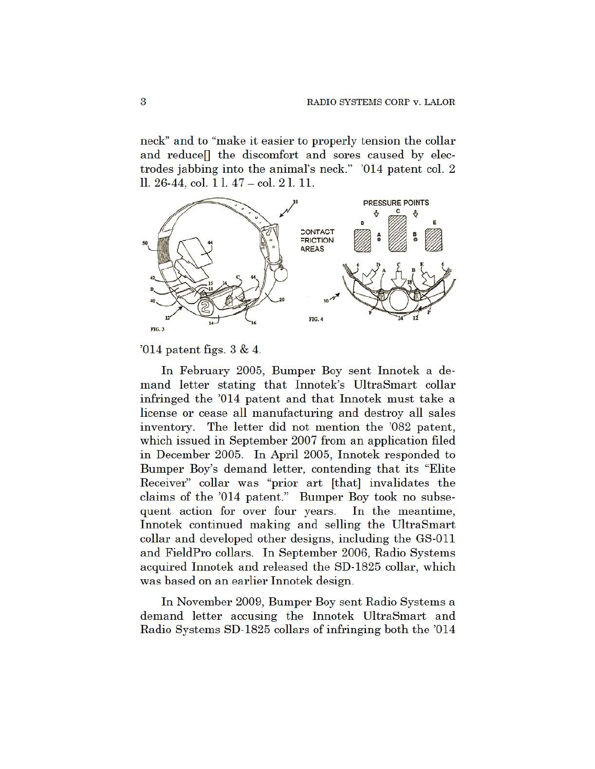neck" and to "make it easier to properly tension the collar and reduce [] the discomfort and sores caused by electrodes jabbing into the animal's neck." '014 patent col. 2 ll. 26-44, col. 1 l. 47 – col. 2 l. 11.



 $014$  patent figs.  $3 & 4$ .

In February 2005, Bumper Boy sent Innotek a demand letter stating that Innotek's UltraSmart collar infringed the '014 patent and that Innotek must take a license or cease all manufacturing and destroy all sales inventory. The letter did not mention the '082 patent, which issued in September 2007 from an application filed in December 2005. In April 2005, Innotek responded to Bumper Boy's demand letter, contending that its "Elite" Receiver" collar was "prior art [that] invalidates the claims of the '014 patent." Bumper Boy took no subsequent action for over four years. In the meantime, Innotek continued making and selling the UltraSmart collar and developed other designs, including the GS-011 and FieldPro collars. In September 2006, Radio Systems acquired Innotek and released the SD-1825 collar, which was based on an earlier Innotek design.

In November 2009, Bumper Boy sent Radio Systems a demand letter accusing the Innotek UltraSmart and Radio Systems SD-1825 collars of infringing both the '014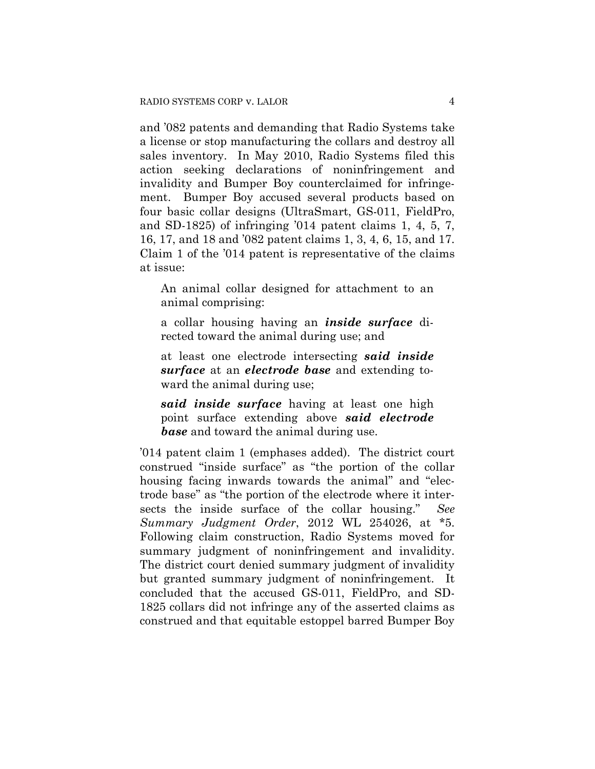and '082 patents and demanding that Radio Systems take a license or stop manufacturing the collars and destroy all sales inventory. In May 2010, Radio Systems filed this action seeking declarations of noninfringement and invalidity and Bumper Boy counterclaimed for infringement. Bumper Boy accused several products based on four basic collar designs (UltraSmart, GS-011, FieldPro, and SD-1825) of infringing '014 patent claims 1, 4, 5, 7, 16, 17, and 18 and '082 patent claims 1, 3, 4, 6, 15, and 17. Claim 1 of the '014 patent is representative of the claims at issue:

An animal collar designed for attachment to an animal comprising:

a collar housing having an *inside surface* directed toward the animal during use; and

at least one electrode intersecting *said inside surface* at an *electrode base* and extending toward the animal during use;

*said inside surface* having at least one high point surface extending above *said electrode base* and toward the animal during use.

'014 patent claim 1 (emphases added). The district court construed "inside surface" as "the portion of the collar housing facing inwards towards the animal" and "electrode base" as "the portion of the electrode where it intersects the inside surface of the collar housing." *See Summary Judgment Order*, 2012 WL 254026, at \*5. Following claim construction, Radio Systems moved for summary judgment of noninfringement and invalidity. The district court denied summary judgment of invalidity but granted summary judgment of noninfringement. It concluded that the accused GS-011, FieldPro, and SD-1825 collars did not infringe any of the asserted claims as construed and that equitable estoppel barred Bumper Boy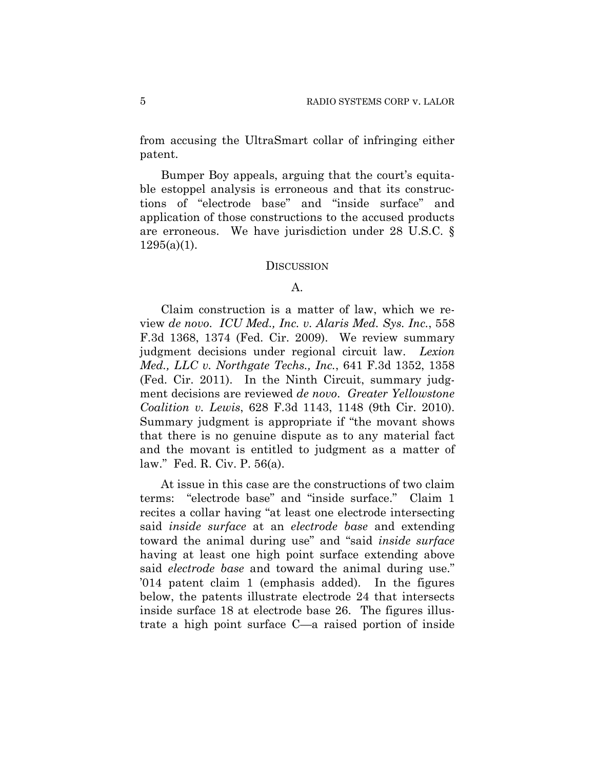from accusing the UltraSmart collar of infringing either patent.

Bumper Boy appeals, arguing that the court's equitable estoppel analysis is erroneous and that its constructions of "electrode base" and "inside surface" and application of those constructions to the accused products are erroneous. We have jurisdiction under 28 U.S.C. §  $1295(a)(1)$ .

#### **DISCUSSION**

#### A.

Claim construction is a matter of law, which we review *de novo*. *ICU Med., Inc. v. Alaris Med. Sys. Inc.*, 558 F.3d 1368, 1374 (Fed. Cir. 2009). We review summary judgment decisions under regional circuit law. *Lexion Med., LLC v. Northgate Techs., Inc.*, 641 F.3d 1352, 1358 (Fed. Cir. 2011). In the Ninth Circuit, summary judgment decisions are reviewed *de novo*. *Greater Yellowstone Coalition v. Lewis*, 628 F.3d 1143, 1148 (9th Cir. 2010). Summary judgment is appropriate if "the movant shows that there is no genuine dispute as to any material fact and the movant is entitled to judgment as a matter of law." Fed. R. Civ. P. 56(a).

At issue in this case are the constructions of two claim terms: "electrode base" and "inside surface." Claim 1 recites a collar having "at least one electrode intersecting said *inside surface* at an *electrode base* and extending toward the animal during use" and "said *inside surface* having at least one high point surface extending above said *electrode base* and toward the animal during use." '014 patent claim 1 (emphasis added). In the figures below, the patents illustrate electrode 24 that intersects inside surface 18 at electrode base 26. The figures illustrate a high point surface C—a raised portion of inside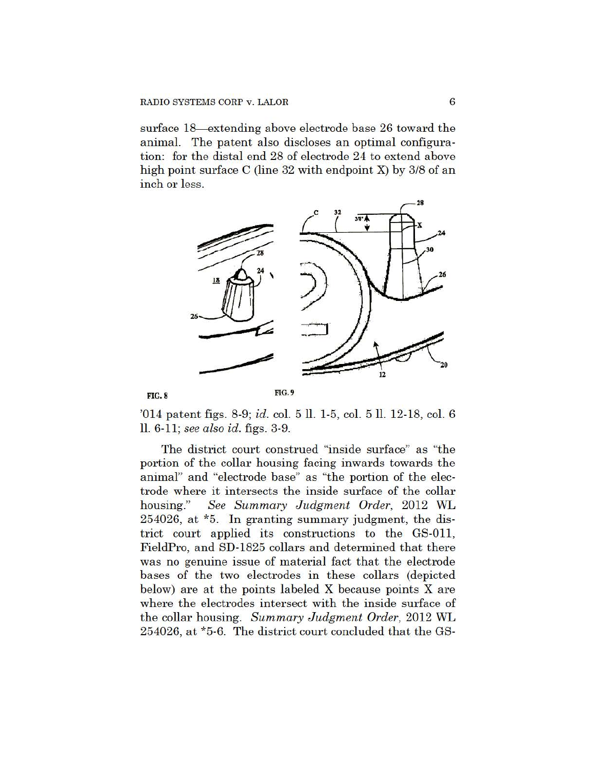surface 18—extending above electrode base 26 toward the animal. The patent also discloses an optimal configuration: for the distal end 28 of electrode 24 to extend above high point surface C (line 32 with endpoint X) by 3/8 of an inch or less.





FIG. 9

'014 patent figs. 8-9; id. col. 5 ll. 1-5, col. 5 ll. 12-18, col. 6  $ll. 6-11$ ; see also id. figs.  $3-9$ .

The district court construed "inside surface" as "the portion of the collar housing facing inwards towards the animal" and "electrode base" as "the portion of the electrode where it intersects the inside surface of the collar See Summary Judgment Order, 2012 WL housing." 254026, at \*5. In granting summary judgment, the district court applied its constructions to the GS-011, FieldPro, and SD-1825 collars and determined that there was no genuine issue of material fact that the electrode bases of the two electrodes in these collars (depicted below) are at the points labeled X because points X are where the electrodes intersect with the inside surface of the collar housing. Summary Judgment Order, 2012 WL 254026, at \*5-6. The district court concluded that the GS-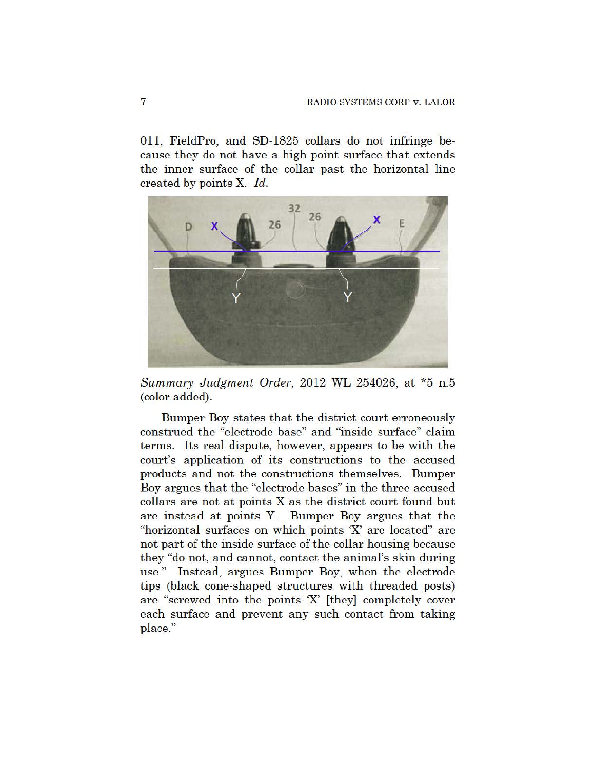011, FieldPro, and SD-1825 collars do not infringe because they do not have a high point surface that extends the inner surface of the collar past the horizontal line created by points X. Id.



Summary Judgment Order, 2012 WL 254026, at \*5 n.5 (color added).

Bumper Boy states that the district court erroneously construed the "electrode base" and "inside surface" claim terms. Its real dispute, however, appears to be with the court's application of its constructions to the accused products and not the constructions themselves. Bumper Boy argues that the "electrode bases" in the three accused collars are not at points X as the district court found but are instead at points Y. Bumper Boy argues that the "horizontal surfaces on which points 'X' are located" are not part of the inside surface of the collar housing because they "do not, and cannot, contact the animal's skin during use." Instead, argues Bumper Boy, when the electrode tips (black cone-shaped structures with threaded posts) are "screwed into the points 'X' [they] completely cover each surface and prevent any such contact from taking place."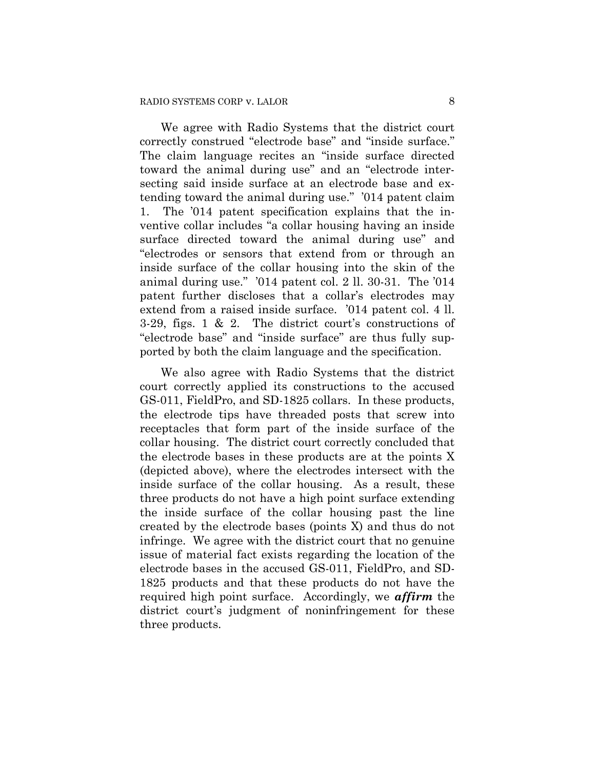We agree with Radio Systems that the district court correctly construed "electrode base" and "inside surface." The claim language recites an "inside surface directed toward the animal during use" and an "electrode intersecting said inside surface at an electrode base and extending toward the animal during use." '014 patent claim 1. The '014 patent specification explains that the inventive collar includes "a collar housing having an inside surface directed toward the animal during use" and "electrodes or sensors that extend from or through an inside surface of the collar housing into the skin of the animal during use." '014 patent col. 2 ll. 30-31. The '014 patent further discloses that a collar's electrodes may extend from a raised inside surface. '014 patent col. 4 ll. 3-29, figs. 1 & 2. The district court's constructions of "electrode base" and "inside surface" are thus fully supported by both the claim language and the specification.

We also agree with Radio Systems that the district court correctly applied its constructions to the accused GS-011, FieldPro, and SD-1825 collars. In these products, the electrode tips have threaded posts that screw into receptacles that form part of the inside surface of the collar housing. The district court correctly concluded that the electrode bases in these products are at the points X (depicted above), where the electrodes intersect with the inside surface of the collar housing. As a result, these three products do not have a high point surface extending the inside surface of the collar housing past the line created by the electrode bases (points X) and thus do not infringe. We agree with the district court that no genuine issue of material fact exists regarding the location of the electrode bases in the accused GS-011, FieldPro, and SD-1825 products and that these products do not have the required high point surface. Accordingly, we *affirm* the district court's judgment of noninfringement for these three products.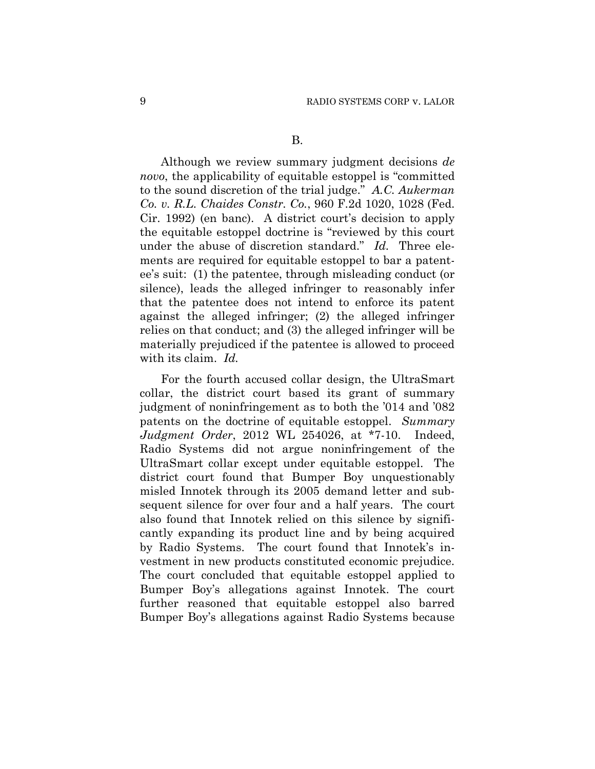Although we review summary judgment decisions *de novo*, the applicability of equitable estoppel is "committed to the sound discretion of the trial judge." *A.C. Aukerman Co. v. R.L. Chaides Constr. Co.*, 960 F.2d 1020, 1028 (Fed. Cir. 1992) (en banc). A district court's decision to apply the equitable estoppel doctrine is "reviewed by this court under the abuse of discretion standard." *Id.* Three elements are required for equitable estoppel to bar a patentee's suit: (1) the patentee, through misleading conduct (or silence), leads the alleged infringer to reasonably infer that the patentee does not intend to enforce its patent against the alleged infringer; (2) the alleged infringer relies on that conduct; and (3) the alleged infringer will be materially prejudiced if the patentee is allowed to proceed with its claim. *Id.*

For the fourth accused collar design, the UltraSmart collar, the district court based its grant of summary judgment of noninfringement as to both the '014 and '082 patents on the doctrine of equitable estoppel. *Summary Judgment Order*, 2012 WL 254026, at \*7-10. Indeed, Radio Systems did not argue noninfringement of the UltraSmart collar except under equitable estoppel. The district court found that Bumper Boy unquestionably misled Innotek through its 2005 demand letter and subsequent silence for over four and a half years. The court also found that Innotek relied on this silence by significantly expanding its product line and by being acquired by Radio Systems. The court found that Innotek's investment in new products constituted economic prejudice. The court concluded that equitable estoppel applied to Bumper Boy's allegations against Innotek. The court further reasoned that equitable estoppel also barred Bumper Boy's allegations against Radio Systems because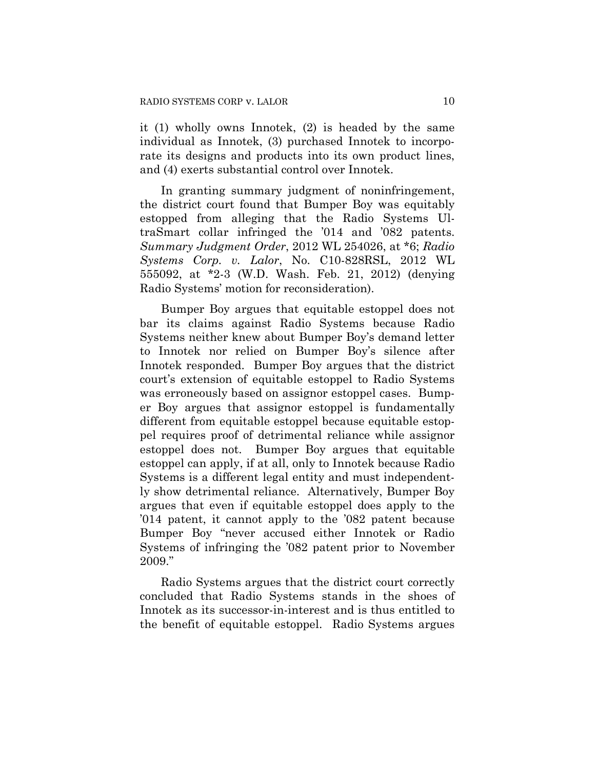it (1) wholly owns Innotek, (2) is headed by the same individual as Innotek, (3) purchased Innotek to incorporate its designs and products into its own product lines, and (4) exerts substantial control over Innotek.

In granting summary judgment of noninfringement, the district court found that Bumper Boy was equitably estopped from alleging that the Radio Systems UltraSmart collar infringed the '014 and '082 patents. *Summary Judgment Order*, 2012 WL 254026, at \*6; *Radio Systems Corp. v. Lalor*, No. C10-828RSL, 2012 WL 555092, at \*2-3 (W.D. Wash. Feb. 21, 2012) (denying Radio Systems' motion for reconsideration).

Bumper Boy argues that equitable estoppel does not bar its claims against Radio Systems because Radio Systems neither knew about Bumper Boy's demand letter to Innotek nor relied on Bumper Boy's silence after Innotek responded. Bumper Boy argues that the district court's extension of equitable estoppel to Radio Systems was erroneously based on assignor estoppel cases. Bumper Boy argues that assignor estoppel is fundamentally different from equitable estoppel because equitable estoppel requires proof of detrimental reliance while assignor estoppel does not. Bumper Boy argues that equitable estoppel can apply, if at all, only to Innotek because Radio Systems is a different legal entity and must independently show detrimental reliance. Alternatively, Bumper Boy argues that even if equitable estoppel does apply to the '014 patent, it cannot apply to the '082 patent because Bumper Boy "never accused either Innotek or Radio Systems of infringing the '082 patent prior to November 2009."

Radio Systems argues that the district court correctly concluded that Radio Systems stands in the shoes of Innotek as its successor-in-interest and is thus entitled to the benefit of equitable estoppel. Radio Systems argues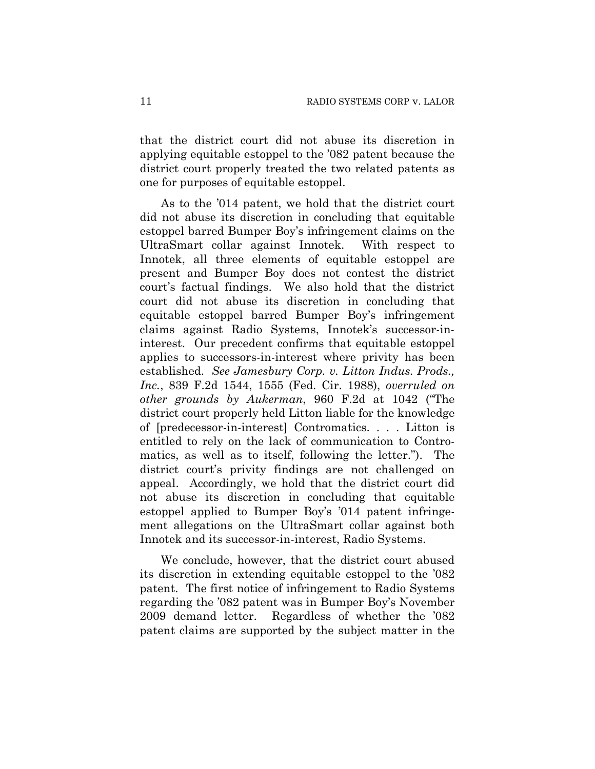that the district court did not abuse its discretion in applying equitable estoppel to the '082 patent because the district court properly treated the two related patents as one for purposes of equitable estoppel.

As to the '014 patent, we hold that the district court did not abuse its discretion in concluding that equitable estoppel barred Bumper Boy's infringement claims on the UltraSmart collar against Innotek. With respect to Innotek, all three elements of equitable estoppel are present and Bumper Boy does not contest the district court's factual findings. We also hold that the district court did not abuse its discretion in concluding that equitable estoppel barred Bumper Boy's infringement claims against Radio Systems, Innotek's successor-ininterest. Our precedent confirms that equitable estoppel applies to successors-in-interest where privity has been established. *See Jamesbury Corp. v. Litton Indus. Prods., Inc.*, 839 F.2d 1544, 1555 (Fed. Cir. 1988), *overruled on other grounds by Aukerman*, 960 F.2d at 1042 ("The district court properly held Litton liable for the knowledge of [predecessor-in-interest] Contromatics. . . . Litton is entitled to rely on the lack of communication to Contromatics, as well as to itself, following the letter."). The district court's privity findings are not challenged on appeal. Accordingly, we hold that the district court did not abuse its discretion in concluding that equitable estoppel applied to Bumper Boy's '014 patent infringement allegations on the UltraSmart collar against both Innotek and its successor-in-interest, Radio Systems.

We conclude, however, that the district court abused its discretion in extending equitable estoppel to the '082 patent. The first notice of infringement to Radio Systems regarding the '082 patent was in Bumper Boy's November 2009 demand letter. Regardless of whether the '082 patent claims are supported by the subject matter in the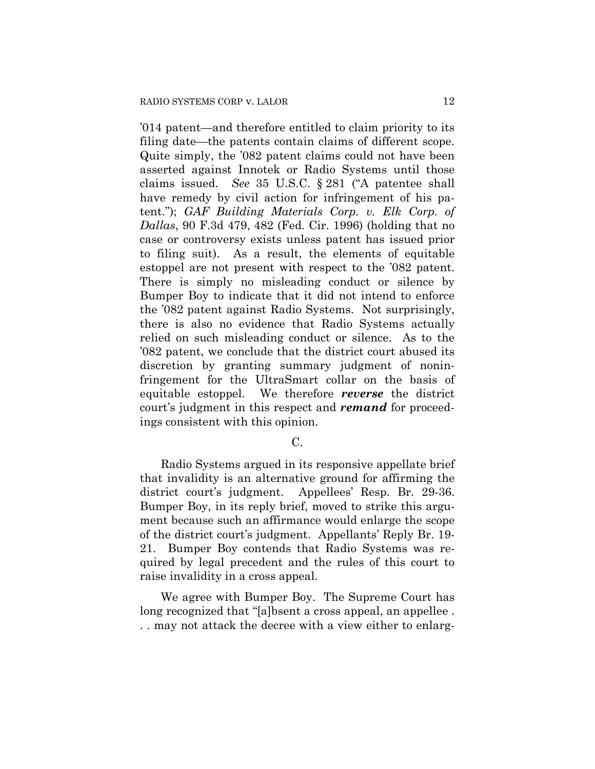'014 patent—and therefore entitled to claim priority to its filing date—the patents contain claims of different scope. Quite simply, the '082 patent claims could not have been asserted against Innotek or Radio Systems until those claims issued. *See* 35 U.S.C. § 281 ("A patentee shall have remedy by civil action for infringement of his patent."); *GAF Building Materials Corp. v. Elk Corp. of Dallas*, 90 F.3d 479, 482 (Fed. Cir. 1996) (holding that no case or controversy exists unless patent has issued prior to filing suit). As a result, the elements of equitable estoppel are not present with respect to the '082 patent. There is simply no misleading conduct or silence by Bumper Boy to indicate that it did not intend to enforce the '082 patent against Radio Systems. Not surprisingly, there is also no evidence that Radio Systems actually relied on such misleading conduct or silence. As to the '082 patent, we conclude that the district court abused its discretion by granting summary judgment of noninfringement for the UltraSmart collar on the basis of equitable estoppel. We therefore *reverse* the district court's judgment in this respect and *remand* for proceedings consistent with this opinion.

C.

Radio Systems argued in its responsive appellate brief that invalidity is an alternative ground for affirming the district court's judgment. Appellees' Resp. Br. 29-36. Bumper Boy, in its reply brief, moved to strike this argument because such an affirmance would enlarge the scope of the district court's judgment. Appellants' Reply Br. 19- 21. Bumper Boy contends that Radio Systems was required by legal precedent and the rules of this court to raise invalidity in a cross appeal.

We agree with Bumper Boy. The Supreme Court has long recognized that "[a]bsent a cross appeal, an appellee . . . may not attack the decree with a view either to enlarg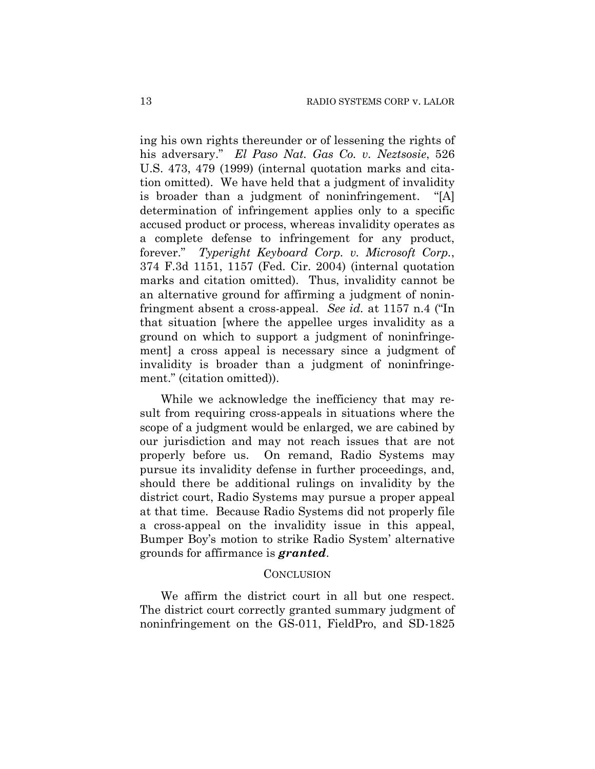ing his own rights thereunder or of lessening the rights of his adversary." *El Paso Nat. Gas Co. v. Neztsosie*, 526 U.S. 473, 479 (1999) (internal quotation marks and citation omitted). We have held that a judgment of invalidity is broader than a judgment of noninfringement. "[A] determination of infringement applies only to a specific accused product or process, whereas invalidity operates as a complete defense to infringement for any product, forever." *Typeright Keyboard Corp. v. Microsoft Corp.*, 374 F.3d 1151, 1157 (Fed. Cir. 2004) (internal quotation marks and citation omitted). Thus, invalidity cannot be an alternative ground for affirming a judgment of noninfringment absent a cross-appeal. *See id.* at 1157 n.4 ("In that situation [where the appellee urges invalidity as a ground on which to support a judgment of noninfringement] a cross appeal is necessary since a judgment of invalidity is broader than a judgment of noninfringement." (citation omitted)).

While we acknowledge the inefficiency that may result from requiring cross-appeals in situations where the scope of a judgment would be enlarged, we are cabined by our jurisdiction and may not reach issues that are not properly before us. On remand, Radio Systems may pursue its invalidity defense in further proceedings, and, should there be additional rulings on invalidity by the district court, Radio Systems may pursue a proper appeal at that time. Because Radio Systems did not properly file a cross-appeal on the invalidity issue in this appeal, Bumper Boy's motion to strike Radio System' alternative grounds for affirmance is *granted*.

#### CONCLUSION

We affirm the district court in all but one respect. The district court correctly granted summary judgment of noninfringement on the GS-011, FieldPro, and SD-1825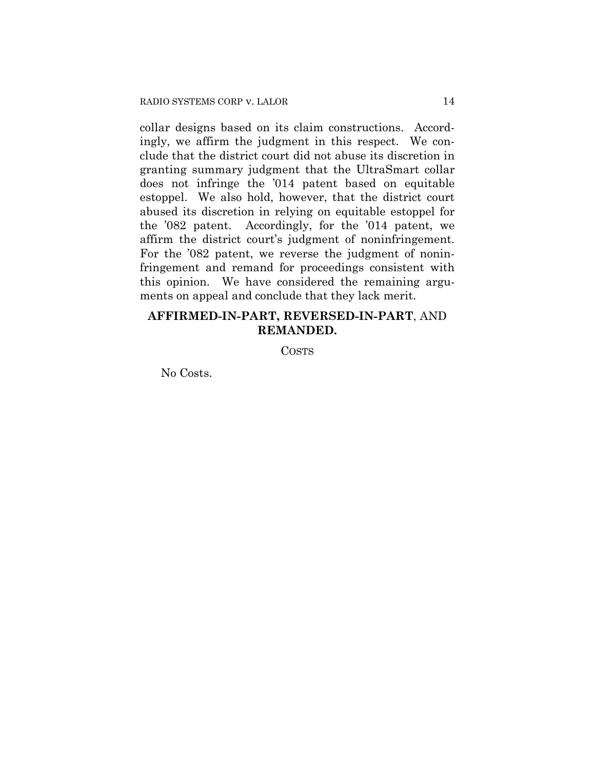collar designs based on its claim constructions. Accordingly, we affirm the judgment in this respect. We conclude that the district court did not abuse its discretion in granting summary judgment that the UltraSmart collar does not infringe the '014 patent based on equitable estoppel. We also hold, however, that the district court abused its discretion in relying on equitable estoppel for the '082 patent. Accordingly, for the '014 patent, we affirm the district court's judgment of noninfringement. For the '082 patent, we reverse the judgment of noninfringement and remand for proceedings consistent with this opinion. We have considered the remaining arguments on appeal and conclude that they lack merit.

# **AFFIRMED-IN-PART, REVERSED-IN-PART**, AND **REMANDED.**

COSTS

No Costs.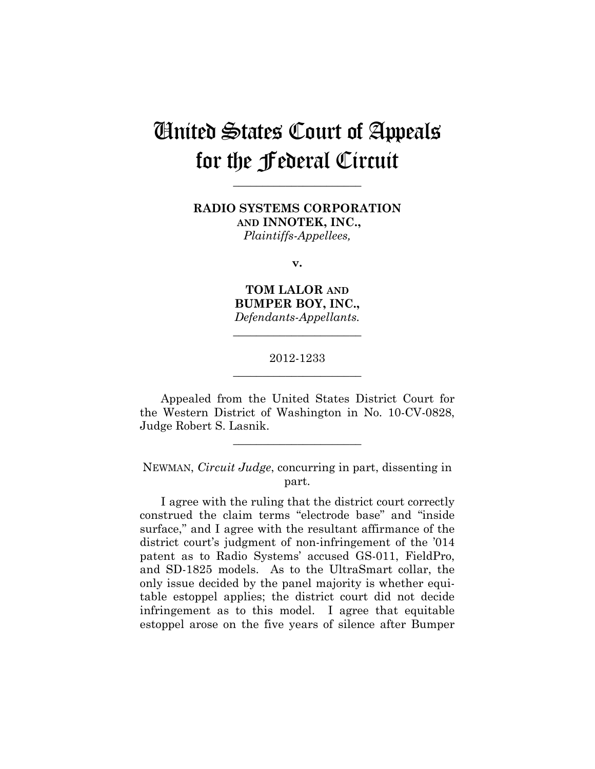# United States Court of Appeals for the Federal Circuit

**\_\_\_\_\_\_\_\_\_\_\_\_\_\_\_\_\_\_\_\_\_\_** 

**RADIO SYSTEMS CORPORATION AND INNOTEK, INC.,** *Plaintiffs-Appellees,*

**v.**

**TOM LALOR AND BUMPER BOY, INC.,** *Defendants-Appellants.* 

## 2012-1233 **\_\_\_\_\_\_\_\_\_\_\_\_\_\_\_\_\_\_\_\_\_\_**

**\_\_\_\_\_\_\_\_\_\_\_\_\_\_\_\_\_\_\_\_\_\_** 

Appealed from the United States District Court for the Western District of Washington in No. 10-CV-0828, Judge Robert S. Lasnik.

**\_\_\_\_\_\_\_\_\_\_\_\_\_\_\_\_\_\_\_\_\_\_** 

NEWMAN, *Circuit Judge*, concurring in part, dissenting in part.

I agree with the ruling that the district court correctly construed the claim terms "electrode base" and "inside surface," and I agree with the resultant affirmance of the district court's judgment of non-infringement of the '014 patent as to Radio Systems' accused GS-011, FieldPro, and SD-1825 models. As to the UltraSmart collar, the only issue decided by the panel majority is whether equitable estoppel applies; the district court did not decide infringement as to this model. I agree that equitable estoppel arose on the five years of silence after Bumper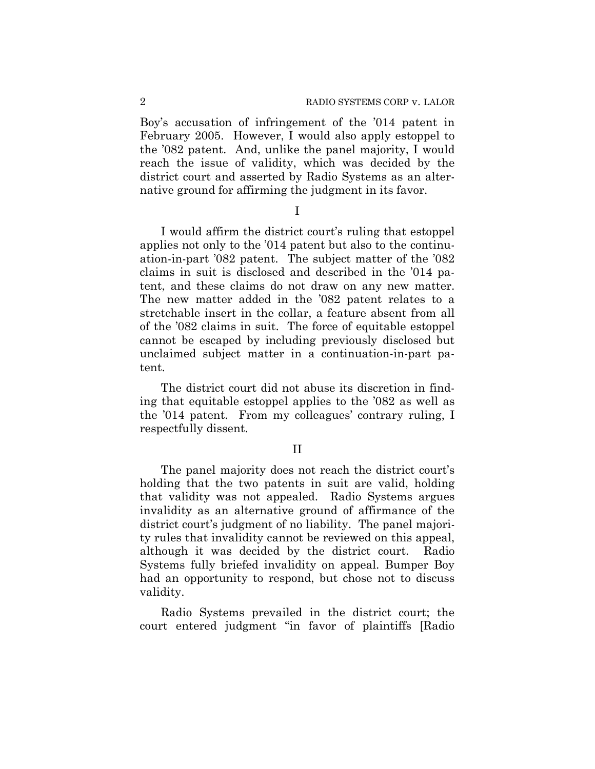Boy's accusation of infringement of the '014 patent in February 2005. However, I would also apply estoppel to the '082 patent. And, unlike the panel majority, I would reach the issue of validity, which was decided by the district court and asserted by Radio Systems as an alternative ground for affirming the judgment in its favor.

I

I would affirm the district court's ruling that estoppel applies not only to the '014 patent but also to the continuation-in-part '082 patent. The subject matter of the '082 claims in suit is disclosed and described in the '014 patent, and these claims do not draw on any new matter. The new matter added in the '082 patent relates to a stretchable insert in the collar, a feature absent from all of the '082 claims in suit. The force of equitable estoppel cannot be escaped by including previously disclosed but unclaimed subject matter in a continuation-in-part patent.

The district court did not abuse its discretion in finding that equitable estoppel applies to the '082 as well as the '014 patent. From my colleagues' contrary ruling, I respectfully dissent.

II

The panel majority does not reach the district court's holding that the two patents in suit are valid, holding that validity was not appealed. Radio Systems argues invalidity as an alternative ground of affirmance of the district court's judgment of no liability. The panel majority rules that invalidity cannot be reviewed on this appeal, although it was decided by the district court. Radio Systems fully briefed invalidity on appeal. Bumper Boy had an opportunity to respond, but chose not to discuss validity.

Radio Systems prevailed in the district court; the court entered judgment "in favor of plaintiffs [Radio